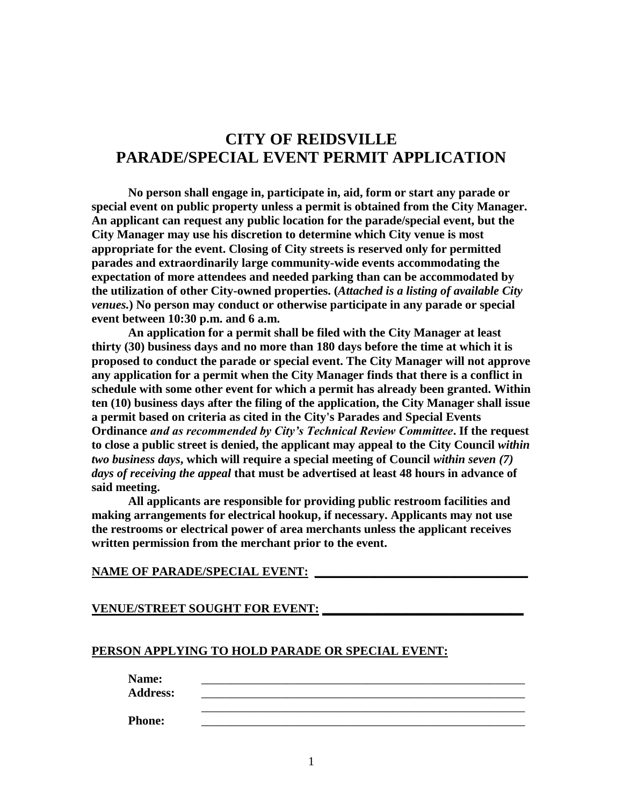# **CITY OF REIDSVILLE PARADE/SPECIAL EVENT PERMIT APPLICATION**

**No person shall engage in, participate in, aid, form or start any parade or special event on public property unless a permit is obtained from the City Manager. An applicant can request any public location for the parade/special event, but the City Manager may use his discretion to determine which City venue is most appropriate for the event. Closing of City streets is reserved only for permitted parades and extraordinarily large community-wide events accommodating the expectation of more attendees and needed parking than can be accommodated by the utilization of other City-owned properties. (***Attached is a listing of available City venues.***) No person may conduct or otherwise participate in any parade or special event between 10:30 p.m. and 6 a.m.**

**An application for a permit shall be filed with the City Manager at least thirty (30) business days and no more than 180 days before the time at which it is proposed to conduct the parade or special event. The City Manager will not approve any application for a permit when the City Manager finds that there is a conflict in schedule with some other event for which a permit has already been granted. Within ten (10) business days after the filing of the application, the City Manager shall issue a permit based on criteria as cited in the City's Parades and Special Events Ordinance** *and as recommended by City's Technical Review Committee***. If the request to close a public street is denied, the applicant may appeal to the City Council** *within two business days***, which will require a special meeting of Council** *within seven (7) days of receiving the appeal* **that must be advertised at least 48 hours in advance of said meeting.**

**All applicants are responsible for providing public restroom facilities and making arrangements for electrical hookup, if necessary. Applicants may not use the restrooms or electrical power of area merchants unless the applicant receives written permission from the merchant prior to the event.**

#### **NAME OF PARADE/SPECIAL EVENT: \_\_\_\_\_\_\_\_\_\_\_\_\_\_\_\_\_\_\_\_\_\_\_\_\_\_\_\_\_\_\_\_\_\_\_**

### **VENUE/STREET SOUGHT FOR EVENT: \_\_\_\_\_\_\_\_\_\_\_\_\_\_\_\_\_\_\_\_\_\_\_\_\_\_\_\_\_\_\_\_\_**

### **PERSON APPLYING TO HOLD PARADE OR SPECIAL EVENT:**

**Name:** \_\_\_\_\_\_\_\_\_\_\_\_\_\_\_\_\_\_\_\_\_\_\_\_\_\_\_\_\_\_\_\_\_\_\_\_\_\_\_\_\_\_\_\_\_\_\_\_\_\_\_\_\_

**Address:** \_\_\_\_\_\_\_\_\_\_\_\_\_\_\_\_\_\_\_\_\_\_\_\_\_\_\_\_\_\_\_\_\_\_\_\_\_\_\_\_\_\_\_\_\_\_\_\_\_\_\_\_\_

**Phone:** \_\_\_\_\_\_\_\_\_\_\_\_\_\_\_\_\_\_\_\_\_\_\_\_\_\_\_\_\_\_\_\_\_\_\_\_\_\_\_\_\_\_\_\_\_\_\_\_\_\_\_\_\_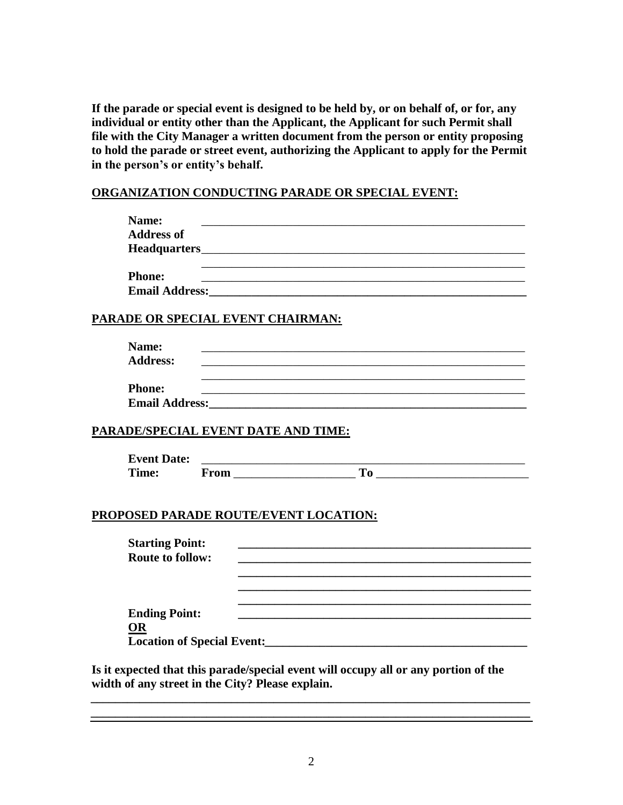**If the parade or special event is designed to be held by, or on behalf of, or for, any individual or entity other than the Applicant, the Applicant for such Permit shall file with the City Manager a written document from the person or entity proposing to hold the parade or street event, authorizing the Applicant to apply for the Permit in the person's or entity's behalf.**

## **ORGANIZATION CONDUCTING PARADE OR SPECIAL EVENT:**

| Name:                                 |                                                                                                                                                                                                                               |
|---------------------------------------|-------------------------------------------------------------------------------------------------------------------------------------------------------------------------------------------------------------------------------|
| <b>Address of</b>                     |                                                                                                                                                                                                                               |
|                                       |                                                                                                                                                                                                                               |
|                                       |                                                                                                                                                                                                                               |
| <b>Phone:</b>                         |                                                                                                                                                                                                                               |
|                                       | Email Address: No. 1998. The Commission of the Commission of the Commission of the Commission of the Commission                                                                                                               |
| PARADE OR SPECIAL EVENT CHAIRMAN:     |                                                                                                                                                                                                                               |
|                                       |                                                                                                                                                                                                                               |
| Name:                                 | <u> 1989 - Johann Stoff, amerikansk politiker (* 1908)</u>                                                                                                                                                                    |
| <b>Address:</b>                       |                                                                                                                                                                                                                               |
|                                       |                                                                                                                                                                                                                               |
| <b>Phone:</b>                         | and the control of the control of the control of the control of the control of the control of the control of the                                                                                                              |
|                                       |                                                                                                                                                                                                                               |
|                                       |                                                                                                                                                                                                                               |
| PARADE/SPECIAL EVENT DATE AND TIME:   |                                                                                                                                                                                                                               |
|                                       |                                                                                                                                                                                                                               |
| <b>Event Date:</b>                    |                                                                                                                                                                                                                               |
| Time:                                 | $\boxed{\text{From} \_\_\_\_}$ To $\_\_\_\_\_\_\_\_\_$                                                                                                                                                                        |
|                                       |                                                                                                                                                                                                                               |
|                                       |                                                                                                                                                                                                                               |
| PROPOSED PARADE ROUTE/EVENT LOCATION: |                                                                                                                                                                                                                               |
|                                       |                                                                                                                                                                                                                               |
| <b>Starting Point:</b>                |                                                                                                                                                                                                                               |
| <b>Route to follow:</b>               |                                                                                                                                                                                                                               |
|                                       |                                                                                                                                                                                                                               |
|                                       |                                                                                                                                                                                                                               |
|                                       |                                                                                                                                                                                                                               |
| <b>Ending Point:</b>                  | the control of the control of the control of the control of the control of the control of the control of the control of the control of the control of the control of the control of the control of the control of the control |
| <b>OR</b>                             |                                                                                                                                                                                                                               |
|                                       | Location of Special Event:<br><u>Location of Special Event:</u>                                                                                                                                                               |
|                                       |                                                                                                                                                                                                                               |

**Is it expected that this parade/special event will occupy all or any portion of the width of any street in the City? Please explain.**

*\_\_\_\_\_\_\_\_\_\_\_\_\_\_\_\_\_\_\_\_\_\_\_\_\_\_\_\_\_\_\_\_\_\_\_\_\_\_\_\_\_\_\_\_\_\_\_\_\_\_\_\_\_\_\_\_\_\_\_\_\_\_\_\_\_\_\_\_\_\_\_\_ \_\_\_\_\_\_\_\_\_\_\_\_\_\_\_\_\_\_\_\_\_\_\_\_\_\_\_\_\_\_\_\_\_\_\_\_\_\_\_\_\_\_\_\_\_\_\_\_\_\_\_\_\_\_\_\_\_\_\_\_\_\_\_\_\_\_\_\_\_\_\_\_*